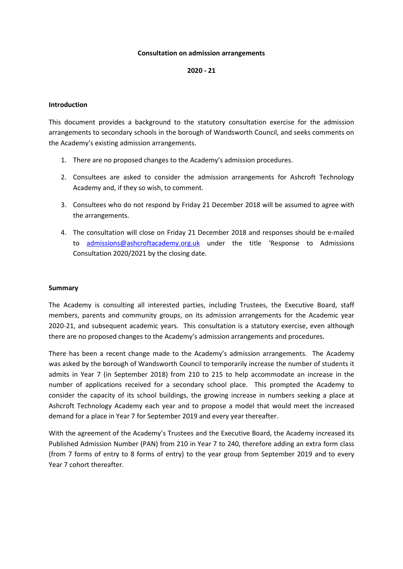## **Consultation on admission arrangements**

# **2020 - 21**

### **Introduction**

This document provides a background to the statutory consultation exercise for the admission arrangements to secondary schools in the borough of Wandsworth Council, and seeks comments on the Academy's existing admission arrangements.

- 1. There are no proposed changes to the Academy's admission procedures.
- 2. Consultees are asked to consider the admission arrangements for Ashcroft Technology Academy and, if they so wish, to comment.
- 3. Consultees who do not respond by Friday 21 December 2018 will be assumed to agree with the arrangements.
- 4. The consultation will close on Friday 21 December 2018 and responses should be e-mailed to [admissions@ashcroftacademy.org.uk](mailto:admissions@ashcroftacademy.org.uk) under the title 'Response to Admissions Consultation 2020/2021 by the closing date.

### **Summary**

The Academy is consulting all interested parties, including Trustees, the Executive Board, staff members, parents and community groups, on its admission arrangements for the Academic year 2020-21, and subsequent academic years. This consultation is a statutory exercise, even although there are no proposed changes to the Academy's admission arrangements and procedures.

There has been a recent change made to the Academy's admission arrangements. The Academy was asked by the borough of Wandsworth Council to temporarily increase the number of students it admits in Year 7 (in September 2018) from 210 to 215 to help accommodate an increase in the number of applications received for a secondary school place. This prompted the Academy to consider the capacity of its school buildings, the growing increase in numbers seeking a place at Ashcroft Technology Academy each year and to propose a model that would meet the increased demand for a place in Year 7 for September 2019 and every year thereafter.

With the agreement of the Academy's Trustees and the Executive Board, the Academy increased its Published Admission Number (PAN) from 210 in Year 7 to 240, therefore adding an extra form class (from 7 forms of entry to 8 forms of entry) to the year group from September 2019 and to every Year 7 cohort thereafter.